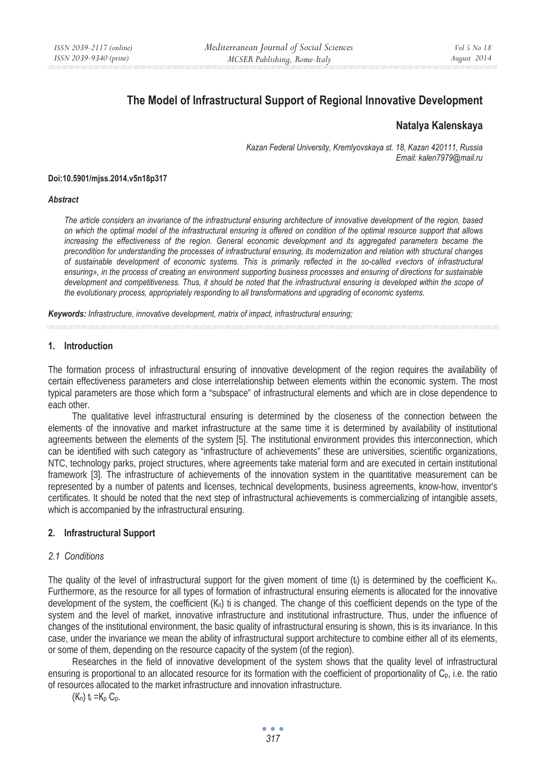# **The Model of Infrastructural Support of Regional Innovative Development**

## **Natalya Kalenskaya**

*Kazan Federal University, Kremlyovskaya st. 18, Kazan 420111, Russia Email: kalen7979@mail.ru* 

#### **Doi:10.5901/mjss.2014.v5n18p317**

#### *Abstract*

*The article considers an invariance of the infrastructural ensuring architecture of innovative development of the region, based on which the optimal model of the infrastructural ensuring is offered on condition of the optimal resource support that allows*  increasing the effectiveness of the region. General economic development and its aggregated parameters became the *precondition for understanding the processes of infrastructural ensuring, its modernization and relation with structural changes of sustainable development of economic systems. This is primarily reflected in the so-called «vectors of infrastructural ensuring», in the process of creating an environment supporting business processes and ensuring of directions for sustainable*  development and competitiveness. Thus, it should be noted that the infrastructural ensuring is developed within the scope of *the evolutionary process, appropriately responding to all transformations and upgrading of economic systems.* 

*Keywords: Infrastructure, innovative development, matrix of impact, infrastructural ensuring;*

#### **1. Introduction**

The formation process of infrastructural ensuring of innovative development of the region requires the availability of certain effectiveness parameters and close interrelationship between elements within the economic system. The most typical parameters are those which form a "subspace" of infrastructural elements and which are in close dependence to each other.

The qualitative level infrastructural ensuring is determined by the closeness of the connection between the elements of the innovative and market infrastructure at the same time it is determined by availability of institutional agreements between the elements of the system [5]. The institutional environment provides this interconnection, which can be identified with such category as "infrastructure of achievements" these are universities, scientific organizations, NTC, technology parks, project structures, where agreements take material form and are executed in certain institutional framework [3]. The infrastructure of achievements of the innovation system in the quantitative measurement can be represented by a number of patents and licenses, technical developments, business agreements, know-how, inventor's certificates. It should be noted that the next step of infrastructural achievements is commercializing of intangible assets, which is accompanied by the infrastructural ensuring.

## **2. Infrastructural Support**

#### *2.1 Conditions*

The quality of the level of infrastructural support for the given moment of time (t<sub>i</sub>) is determined by the coefficient  $K_n$ . Furthermore, as the resource for all types of formation of infrastructural ensuring elements is allocated for the innovative development of the system, the coefficient  $(K_n)$  ti is changed. The change of this coefficient depends on the type of the system and the level of market, innovative infrastructure and institutional infrastructure. Thus, under the influence of changes of the institutional environment, the basic quality of infrastructural ensuring is shown, this is its invariance. In this case, under the invariance we mean the ability of infrastructural support architecture to combine either all of its elements, or some of them, depending on the resource capacity of the system (of the region).

Researches in the field of innovative development of the system shows that the quality level of infrastructural ensuring is proportional to an allocated resource for its formation with the coefficient of proportionality of  $C_{p}$ , i.e. the ratio of resources allocated to the market infrastructure and innovation infrastructure.

 $(K_n)$  t<sub>i</sub> = $K_p$   $C_p$ .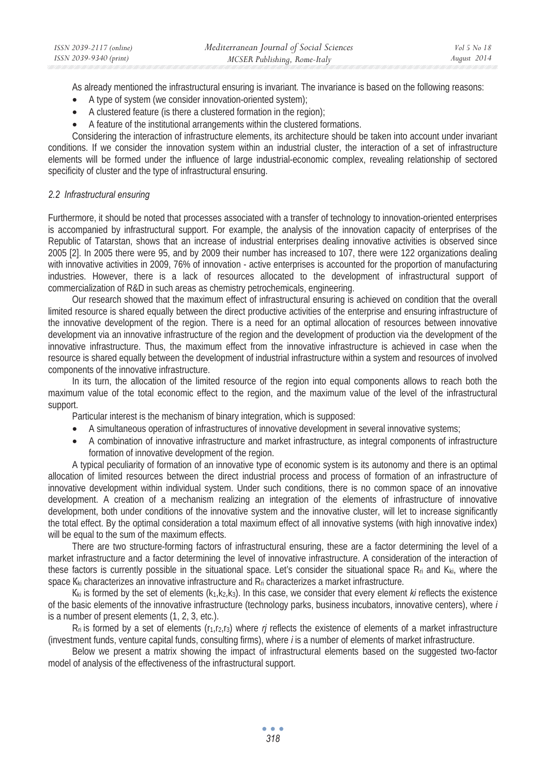| ISSN 2039-2117 (online) | Mediterranean Journal of Social Sciences | Vol 5 No 18 |
|-------------------------|------------------------------------------|-------------|
| ISSN 2039-9340 (print)  | MCSER Publishing, Rome-Italy             | August 2014 |

As already mentioned the infrastructural ensuring is invariant. The invariance is based on the following reasons:

- A type of system (we consider innovation-oriented system);
- A clustered feature (is there a clustered formation in the region);
- A feature of the institutional arrangements within the clustered formations.

Considering the interaction of infrastructure elements, its architecture should be taken into account under invariant conditions. If we consider the innovation system within an industrial cluster, the interaction of a set of infrastructure elements will be formed under the influence of large industrial-economic complex, revealing relationship of sectored specificity of cluster and the type of infrastructural ensuring.

#### *2.2 Infrastructural ensuring*

Furthermore, it should be noted that processes associated with a transfer of technology to innovation-oriented enterprises is accompanied by infrastructural support. For example, the analysis of the innovation capacity of enterprises of the Republic of Tatarstan, shows that an increase of industrial enterprises dealing innovative activities is observed since 2005 [2]. In 2005 there were 95, and by 2009 their number has increased to 107, there were 122 organizations dealing with innovative activities in 2009, 76% of innovation - active enterprises is accounted for the proportion of manufacturing industries. However, there is a lack of resources allocated to the development of infrastructural support of commercialization of R&D in such areas as chemistry petrochemicals, engineering.

Our research showed that the maximum effect of infrastructural ensuring is achieved on condition that the overall limited resource is shared equally between the direct productive activities of the enterprise and ensuring infrastructure of the innovative development of the region. There is a need for an optimal allocation of resources between innovative development via an innovative infrastructure of the region and the development of production via the development of the innovative infrastructure. Thus, the maximum effect from the innovative infrastructure is achieved in case when the resource is shared equally between the development of industrial infrastructure within a system and resources of involved components of the innovative infrastructure.

In its turn, the allocation of the limited resource of the region into equal components allows to reach both the maximum value of the total economic effect to the region, and the maximum value of the level of the infrastructural support.

Particular interest is the mechanism of binary integration, which is supposed:

- A simultaneous operation of infrastructures of innovative development in several innovative systems:
- A combination of innovative infrastructure and market infrastructure, as integral components of infrastructure formation of innovative development of the region.

A typical peculiarity of formation of an innovative type of economic system is its autonomy and there is an optimal allocation of limited resources between the direct industrial process and process of formation of an infrastructure of innovative development within individual system. Under such conditions, there is no common space of an innovative development. A creation of a mechanism realizing an integration of the elements of infrastructure of innovative development, both under conditions of the innovative system and the innovative cluster, will let to increase significantly the total effect. By the optimal consideration a total maximum effect of all innovative systems (with high innovative index) will be equal to the sum of the maximum effects.

There are two structure-forming factors of infrastructural ensuring, these are a factor determining the level of a market infrastructure and a factor determining the level of innovative infrastructure. A consideration of the interaction of these factors is currently possible in the situational space. Let's consider the situational space  $R_{fi}$  and  $K_{ki}$ , where the space  $K_{ki}$  characterizes an innovative infrastructure and  $R_{ri}$  characterizes a market infrastructure.

 $K_{ki}$  is formed by the set of elements  $(k_1,k_2,k_3)$ . In this case, we consider that every element *ki* reflects the existence of the basic elements of the innovative infrastructure (technology parks, business incubators, innovative centers), where *i* is a number of present elements (1, 2, 3, etc.).

 $R_{\rm f}$  is formed by a set of elements ( $r_{\rm 1},r_{\rm 2},r_{\rm 3}$ ) where *rj* reflects the existence of elements of a market infrastructure (investment funds, venture capital funds, consulting firms), where *i* is a number of elements of market infrastructure.

Below we present a matrix showing the impact of infrastructural elements based on the suggested two-factor model of analysis of the effectiveness of the infrastructural support.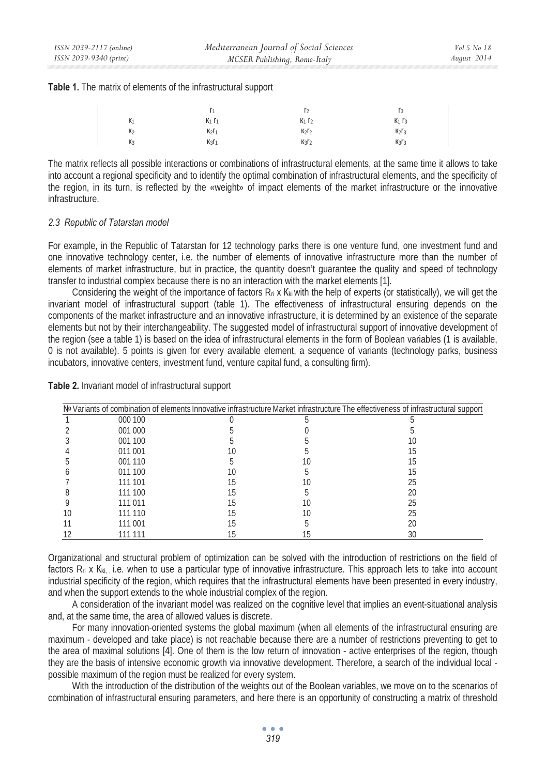|  |  |  |  | Table 1. The matrix of elements of the infrastructural support |  |
|--|--|--|--|----------------------------------------------------------------|--|
|--|--|--|--|----------------------------------------------------------------|--|

|                | ۱۱             | Γ2                            | Г3             |
|----------------|----------------|-------------------------------|----------------|
| K <sub>1</sub> | $K1$ $\Gamma1$ | $K1$ $\Gamma2$                | $K1$ $\Gamma3$ |
| K <sub>2</sub> | $K2$ $r1$      | K <sub>2</sub> r <sub>2</sub> | $K2$ $K3$      |
| K <sub>3</sub> | $K3$ $r1$      | K <sub>3</sub> r <sub>2</sub> | $K3$ $F3$      |

The matrix reflects all possible interactions or combinations of infrastructural elements, at the same time it allows to take into account a regional specificity and to identify the optimal combination of infrastructural elements, and the specificity of the region, in its turn, is reflected by the «weight» of impact elements of the market infrastructure or the innovative infrastructure.

## *2.3 Republic of Tatarstan model*

For example, in the Republic of Tatarstan for 12 technology parks there is one venture fund, one investment fund and one innovative technology center, i.e. the number of elements of innovative infrastructure more than the number of elements of market infrastructure, but in practice, the quantity doesn't guarantee the quality and speed of technology transfer to industrial complex because there is no an interaction with the market elements [1].

Considering the weight of the importance of factors  $R_{ri} \times R_{ki}$  with the help of experts (or statistically), we will get the invariant model of infrastructural support (table 1). The effectiveness of infrastructural ensuring depends on the components of the market infrastructure and an innovative infrastructure, it is determined by an existence of the separate elements but not by their interchangeability. The suggested model of infrastructural support of innovative development of the region (see a table 1) is based on the idea of infrastructural elements in the form of Boolean variables (1 is available, 0 is not available). 5 points is given for every available element, a sequence of variants (technology parks, business incubators, innovative centers, investment fund, venture capital fund, a consulting firm).

|    |         |     | Nº Variants of combination of elements Innovative infrastructure Market infrastructure The effectiveness of infrastructural support |
|----|---------|-----|-------------------------------------------------------------------------------------------------------------------------------------|
|    | 000 100 |     |                                                                                                                                     |
|    | 001 000 |     |                                                                                                                                     |
|    | 001 100 |     |                                                                                                                                     |
|    | 011 001 |     |                                                                                                                                     |
|    | 001 110 |     |                                                                                                                                     |
|    | 011 100 |     |                                                                                                                                     |
|    | 111 101 |     | 25                                                                                                                                  |
|    | 111 100 |     | 20                                                                                                                                  |
|    | 111 011 | 15  | 25                                                                                                                                  |
| 10 | 111 110 | l b | 25                                                                                                                                  |
|    | 111 001 | l h | 20                                                                                                                                  |
|    | 111 111 |     | 30                                                                                                                                  |

## **Table 2.** Invariant model of infrastructural support

Organizational and structural problem of optimization can be solved with the introduction of restrictions on the field of factors  $R_{\rm fl}$  x  $K_{\rm kl}$ , i.e. when to use a particular type of innovative infrastructure. This approach lets to take into account industrial specificity of the region, which requires that the infrastructural elements have been presented in every industry, and when the support extends to the whole industrial complex of the region.

A consideration of the invariant model was realized on the cognitive level that implies an event-situational analysis and, at the same time, the area of allowed values is discrete.

For many innovation-oriented systems the global maximum (when all elements of the infrastructural ensuring are maximum - developed and take place) is not reachable because there are a number of restrictions preventing to get to the area of maximal solutions [4]. One of them is the low return of innovation - active enterprises of the region, though they are the basis of intensive economic growth via innovative development. Therefore, a search of the individual local possible maximum of the region must be realized for every system.

With the introduction of the distribution of the weights out of the Boolean variables, we move on to the scenarios of combination of infrastructural ensuring parameters, and here there is an opportunity of constructing a matrix of threshold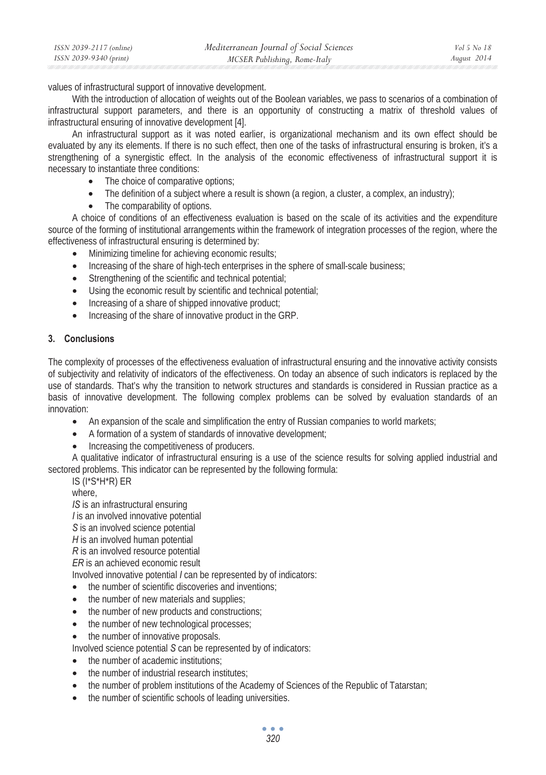| ISSN 2039-2117 (online) | Mediterranean Journal of Social Sciences | Vol 5 No 18 |
|-------------------------|------------------------------------------|-------------|
| ISSN 2039-9340 (print)  | MCSER Publishing, Rome-Italy             | August 2014 |

values of infrastructural support of innovative development.

With the introduction of allocation of weights out of the Boolean variables, we pass to scenarios of a combination of infrastructural support parameters, and there is an opportunity of constructing a matrix of threshold values of infrastructural ensuring of innovative development [4].

An infrastructural support as it was noted earlier, is organizational mechanism and its own effect should be evaluated by any its elements. If there is no such effect, then one of the tasks of infrastructural ensuring is broken, it's a strengthening of a synergistic effect. In the analysis of the economic effectiveness of infrastructural support it is necessary to instantiate three conditions:

- The choice of comparative options;
- The definition of a subject where a result is shown (a region, a cluster, a complex, an industry);
- The comparability of options.

A choice of conditions of an effectiveness evaluation is based on the scale of its activities and the expenditure source of the forming of institutional arrangements within the framework of integration processes of the region, where the effectiveness of infrastructural ensuring is determined by:

- Minimizing timeline for achieving economic results;
- Increasing of the share of high-tech enterprises in the sphere of small-scale business;
- Strengthening of the scientific and technical potential;
- Using the economic result by scientific and technical potential;
- Increasing of a share of shipped innovative product;
- Increasing of the share of innovative product in the GRP.

## **3. Conclusions**

The complexity of processes of the effectiveness evaluation of infrastructural ensuring and the innovative activity consists of subjectivity and relativity of indicators of the effectiveness. On today an absence of such indicators is replaced by the use of standards. That's why the transition to network structures and standards is considered in Russian practice as a basis of innovative development. The following complex problems can be solved by evaluation standards of an innovation:

- An expansion of the scale and simplification the entry of Russian companies to world markets;
- A formation of a system of standards of innovative development;
- Increasing the competitiveness of producers.

A qualitative indicator of infrastructural ensuring is a use of the science results for solving applied industrial and sectored problems. This indicator can be represented by the following formula:

IS (I\*S\*H\*R) ER

where,

*IS* is an infrastructural ensuring

*I* is an involved innovative potential

**S** is an involved science potential

*H* is an involved human potential

*R* is an involved resource potential

*ER* is an achieved economic result

Involved innovative potential *I* can be represented by of indicators:

- the number of scientific discoveries and inventions;
- the number of new materials and supplies:
- the number of new products and constructions;
- the number of new technological processes;
- the number of innovative proposals.

Involved science potential *S* can be represented by of indicators:

- the number of academic institutions;
- the number of industrial research institutes;
- the number of problem institutions of the Academy of Sciences of the Republic of Tatarstan;
- the number of scientific schools of leading universities.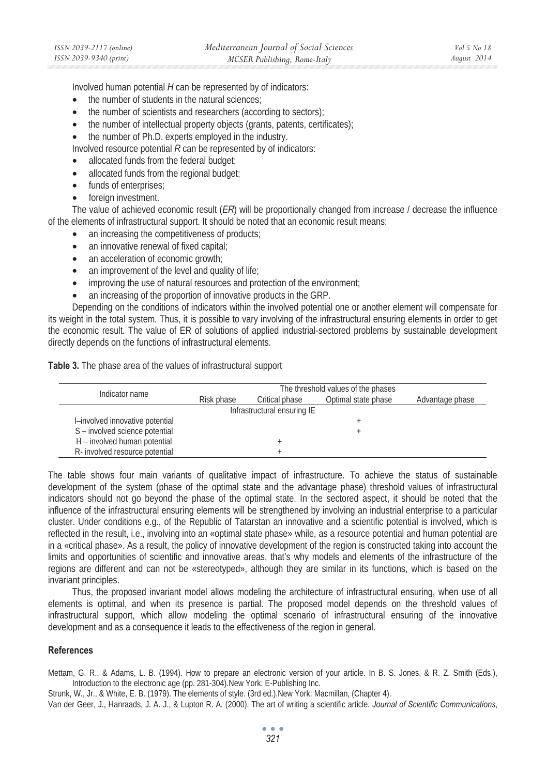Involved human potential *H* can be represented by of indicators:

- the number of students in the natural sciences:
- the number of scientists and researchers (according to sectors):
- the number of intellectual property objects (grants, patents, certificates);
- the number of Ph.D. experts employed in the industry.

Involved resource potential *R* can be represented by of indicators:

- allocated funds from the federal budget;
- allocated funds from the regional budget;
- funds of enterprises:
- foreign investment.

The value of achieved economic result (*ER*) will be proportionally changed from increase / decrease the influence of the elements of infrastructural support. It should be noted that an economic result means:

- an increasing the competitiveness of products;
- an innovative renewal of fixed capital;
- an acceleration of economic growth;
- an improvement of the level and quality of life:
- improving the use of natural resources and protection of the environment;
- an increasing of the proportion of innovative products in the GRP.

Depending on the conditions of indicators within the involved potential one or another element will compensate for its weight in the total system. Thus, it is possible to vary involving of the infrastructural ensuring elements in order to get the economic result. The value of ER of solutions of applied industrial-sectored problems by sustainable development directly depends on the functions of infrastructural elements.

**Table 3.** The phase area of the values of infrastructural support

| Indicator name                  |            |                             | The threshold values of the phases |                 |
|---------------------------------|------------|-----------------------------|------------------------------------|-----------------|
|                                 | Risk phase | Critical phase              | Optimal state phase                | Advantage phase |
|                                 |            | Infrastructural ensuring IE |                                    |                 |
| I-involved innovative potential |            |                             |                                    |                 |
| S - involved science potential  |            |                             |                                    |                 |
| H - involved human potential    |            |                             |                                    |                 |
| R-involved resource potential   |            |                             |                                    |                 |

The table shows four main variants of qualitative impact of infrastructure. To achieve the status of sustainable development of the system (phase of the optimal state and the advantage phase) threshold values of infrastructural indicators should not go beyond the phase of the optimal state. In the sectored aspect, it should be noted that the influence of the infrastructural ensuring elements will be strengthened by involving an industrial enterprise to a particular cluster. Under conditions e.g., of the Republic of Tatarstan an innovative and a scientific potential is involved, which is reflected in the result, i.e., involving into an «optimal state phase» while, as a resource potential and human potential are in a «critical phase». As a result, the policy of innovative development of the region is constructed taking into account the limits and opportunities of scientific and innovative areas, that's why models and elements of the infrastructure of the regions are different and can not be «stereotyped», although they are similar in its functions, which is based on the invariant principles.

Thus, the proposed invariant model allows modeling the architecture of infrastructural ensuring, when use of all elements is optimal, and when its presence is partial. The proposed model depends on the threshold values of infrastructural support, which allow modeling the optimal scenario of infrastructural ensuring of the innovative development and as a consequence it leads to the effectiveness of the region in general.

## **References**

Mettam, G. R., & Adams, L. B. (1994). How to prepare an electronic version of your article. In B. S. Jones, & R. Z. Smith (Eds.), Introduction to the electronic age (pp. 281-304).New York: E-Publishing Inc.

Strunk, W., Jr., & White, E. B. (1979). The elements of style. (3rd ed.).New York: Macmillan, (Chapter 4).

Van der Geer, J., Hanraads, J. A. J., & Lupton R. A. (2000). The art of writing a scientific article*. Journal of Scientific Communications*,